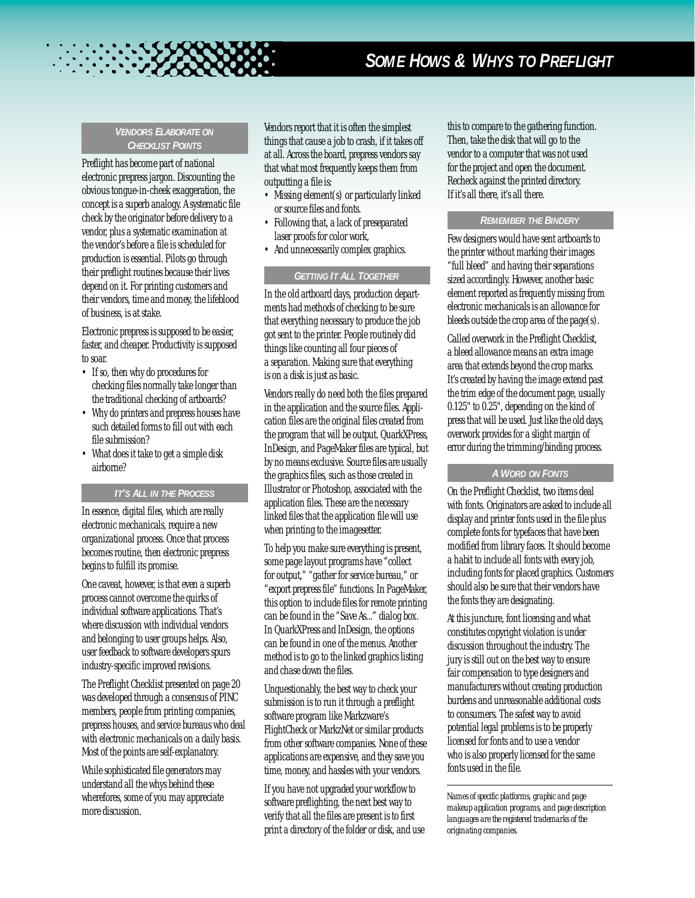# *SOME HOWS & WHYS TO PREFLIGHT*

## *VENDORS ELABORATE ON CHECKLIST POINTS*

Preflight has become part of national electronic prepress jargon. Discounting the obvious tongue-in-cheek exaggeration, the concept is a superb analogy. A systematic file check by the originator before delivery to a vendor, plus a systematic examination at the vendor's before a file is scheduled for production is essential. Pilots go through their preflight routines because their lives depend on it. For printing customers and their vendors, time and money, the lifeblood of business, is at stake.

Electronic prepress is supposed to be easier, faster, and cheaper. Productivity is supposed to soar.

- If so, then why do procedures for checking files normally take longer than the traditional checking of artboards?
- Why do printers and prepress houses have such detailed forms to fill out with each file submission?
- What does it take to get a simple disk airborne?

## *IT'S ALL IN THE PROCESS*

In essence, digital files, which are really electronic mechanicals, require a new organizational process. Once that process becomes routine, then electronic prepress begins to fulfill its promise.

One caveat, however, is that even a superb process cannot overcome the quirks of individual software applications. That's where discussion with individual vendors and belonging to user groups helps. Also, user feedback to software developers spurs industry-specific improved revisions.

The Preflight Checklist presented on page 20 was developed through a consensus of PINC members, people from printing companies, prepress houses, and service bureaus who deal with electronic mechanicals on a daily basis. Most of the points are self-explanatory.

While sophisticated file generators may understand all the whys behind these wherefores, some of you may appreciate more discussion.

Vendors report that it is often the simplest things that cause a job to crash, if it takes off at all. Across the board, prepress vendors say that what most frequently keeps them from outputting a file is:

- Missing element(s) or particularly linked or source files and fonts.
- Following that, a lack of preseparated laser proofs for color work,
- And unnecessarily complex graphics.

## *GETTING IT ALL TOGETHER*

In the old artboard days, production departments had methods of checking to be sure that everything necessary to produce the job got sent to the printer. People routinely did things like counting all four pieces of a separation. Making sure that everything is on a disk is just as basic.

Vendors really do need both the files prepared in the application and the source files. Application files are the original files created from the program that will be output. QuarkXPress, InDesign, and PageMaker files are typical, but by no means exclusive. Source files are usually the graphics files, such as those created in Illustrator or Photoshop, associated with the application files. These are the necessary linked files that the application file will use when printing to the imagesetter.

To help you make sure everything is present, some page layout programs have "collect for output,""gather for service bureau," or "export prepress file" functions. In PageMaker, this option to include files for remote printing can be found in the "Save As..." dialog box. In QuarkXPress and InDesign, the options can be found in one of the menus. Another method is to go to the linked graphics listing and chase down the files.

Unquestionably, the best way to check your submission is to run it through a preflight software program like Markzware's FlightCheck or MarkzNet or similar products from other software companies. None of these applications are expensive, and they save you time, money, and hassles with your vendors.

If you have not upgraded your workflow to software preflighting, the next best way to verify that all the files are present is to first print a directory of the folder or disk, and use this to compare to the gathering function. Then, take the disk that will go to the vendor to a computer that was not used for the project and open the document. Recheck against the printed directory. If it's all there, it's all there.

# *REMEMBER THE BINDERY*

Few designers would have sent artboards to the printer without marking their images "full bleed" and having their separations sized accordingly. However, another basic element reported as frequently missing from electronic mechanicals is an allowance for bleeds outside the crop area of the page(s).

Called overwork in the Preflight Checklist, a bleed allowance means an extra image area that extends beyond the crop marks. It's created by having the image extend past the trim edge of the document page, usually 0.125" to 0.25", depending on the kind of press that will be used. Just like the old days, overwork provides for a slight margin of error during the trimming/binding process.

# *A WORD ON FONTS*

On the Preflight Checklist, two items deal with fonts. Originators are asked to include all display and printer fonts used in the file plus complete fonts for typefaces that have been modified from library faces. It should become a habit to include all fonts with every job, including fonts for placed graphics. Customers should also be sure that their vendors have the fonts they are designating.

At this juncture, font licensing and what constitutes copyright violation is under discussion throughout the industry. The jury is still out on the best way to ensure fair compensation to type designers and manufacturers without creating production burdens and unreasonable additional costs to consumers. The safest way to avoid potential legal problems is to be properly licensed for fonts and to use a vendor who is also properly licensed for the same fonts used in the file.

*Names of specific platforms, graphic and page makeup application programs, and page description languages are the registered trademarks of the originating companies.*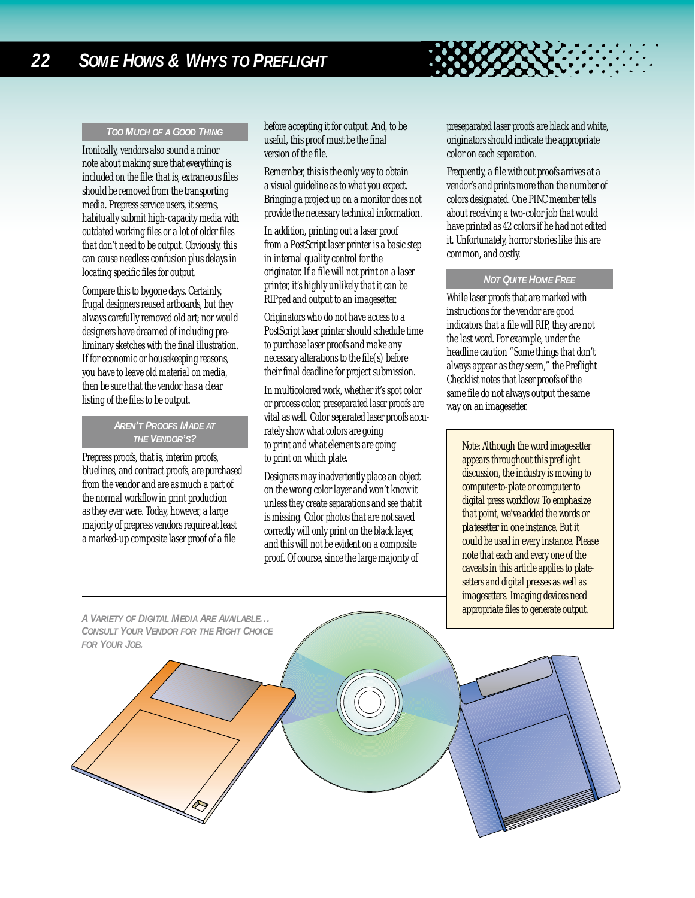## *TOO MUCH OF A GOOD THING*

Ironically, vendors also sound a minor note about making sure that everything is included on the file: that is, extraneous files should be removed from the transporting media. Prepress service users, it seems, habitually submit high-capacity media with outdated working files or a lot of older files that don't need to be output. Obviously, this can cause needless confusion plus delays in locating specific files for output.

Compare this to bygone days. Certainly, frugal designers reused artboards, but they always carefully removed old art; nor would designers have dreamed of including preliminary sketches with the final illustration. If for economic or housekeeping reasons, you have to leave old material on media, then be sure that the vendor has a clear listing of the files to be output.

# *AREN'T PROOFS MADE AT THE VENDOR'S?*

Prepress proofs, that is, interim proofs, bluelines, and contract proofs, are purchased from the vendor and are as much a part of the normal workflow in print production as they ever were. Today, however, a large majority of prepress vendors require at least a marked-up composite laser proof of a file

before accepting it for output. And, to be useful, this proof must be the final version of the file.

Remember, this is the only way to obtain a visual guideline as to what you expect. Bringing a project up on a monitor does not provide the necessary technical information.

In addition, printing out a laser proof from a PostScript laser printer is a basic step in internal quality control for the originator. If a file will not print on a laser printer, it's highly unlikely that it can be RIPped and output to an imagesetter.

Originators who do not have access to a PostScript laser printer should schedule time to purchase laser proofs and make any necessary alterations to the file(s) before their final deadline for project submission.

In multicolored work, whether it's spot color or process color, preseparated laser proofs are vital as well. Color separated laser proofs accurately show what colors are going to print and what elements are going to print on which plate.

Designers may inadvertently place an object on the wrong color layer and won't know it unless they create separations and see that it is missing. Color photos that are not saved correctly will only print on the black layer, and this will not be evident on a composite proof. Of course, since the large majority of

preseparated laser proofs are black and white, originators should indicate the appropriate color on each separation.

Frequently, a file without proofs arrives at a vendor's and prints more than the number of colors designated. One PINC member tells about receiving a two-color job that would have printed as 42 colors if he had not edited it. Unfortunately, horror stories like this are common, and costly.

#### *NOT QUITE HOME FREE*

While laser proofs that are marked with instructions for the vendor are good indicators that a file will RIP, they are not the last word. For example, under the headline caution "Some things that don't always appear as they seem," the Preflight Checklist notes that laser proofs of the same file do not always output the same way on an imagesetter.

Note: Although the word imagesetter appears throughout this preflight discussion, the industry is moving to computer-to-plate or computer to digital press workflow. To emphasize that point, we've added the words *or platesetter* in one instance. But it could be used in every instance. Please note that each and every one of the caveats in this article applies to platesetters and digital presses as well as imagesetters. Imaging devices need appropriate files to generate output.

*A VARIETY OF DIGITAL MEDIA ARE AVAILABLE... CONSULT YOUR VENDOR FOR THE RIGHT CHOICE FOR YOUR JOB.*